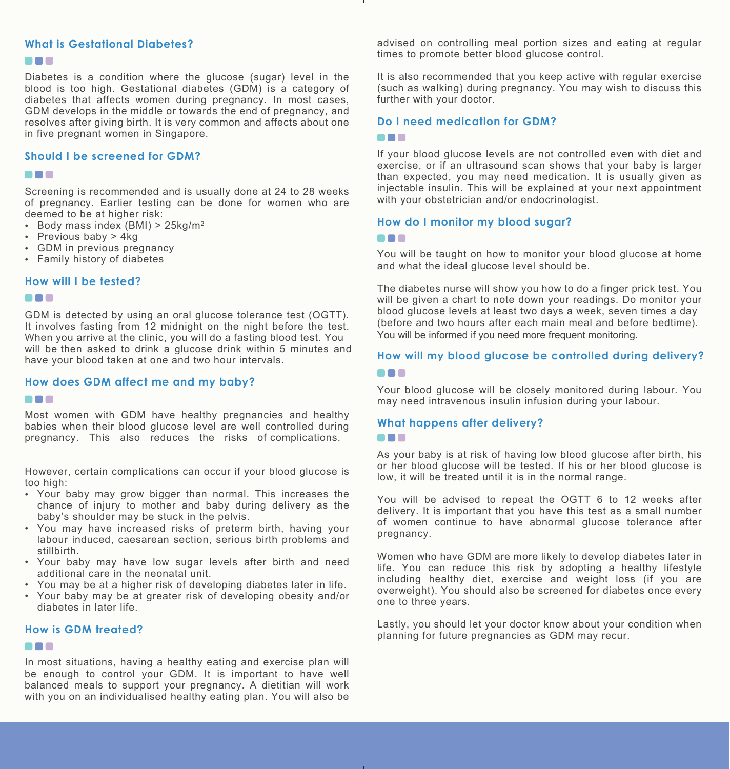### **What is Gestational Diabetes?**

# **RRK**

Diabetes is a condition where the glucose (sugar) level in the blood is too high. Gestational diabetes (GDM) is a category of diabetes that affects women during pregnancy. In most cases, GDM develops in the middle or towards the end of pregnancy, and resolves after giving birth. It is very common and affects about one in five pregnant women in Singapore.

# **Should I be screened for GDM?**

# **RAD**

Screening is recommended and is usually done at 24 to 28 weeks of pregnancy. Earlier testing can be done for women who are deemed to be at higher risk:

- Body mass index (BMI) >  $25 \text{kg/m}^2$
- Previous baby > 4kg
- GDM in previous pregnancy
- Family history of diabetes

#### **How will I be tested?**

#### **RAD**

GDM is detected by using an oral glucose tolerance test (OGTT). It involves fasting from 12 midnight on the night before the test. When you arrive at the clinic, you will do a fasting blood test. You will be then asked to drink a glucose drink within 5 minutes and have your blood taken at one and two hour intervals.

#### **How does GDM affect me and my baby?**

#### **...**

Most women with GDM have healthy pregnancies and healthy babies when their blood glucose level are well controlled during pregnancy. This also reduces the risks of complications.

However, certain complications can occur if your blood glucose is too high:

- Your baby may grow bigger than normal. This increases the chance of injury to mother and baby during delivery as the baby's shoulder may be stuck in the pelvis.
- You may have increased risks of preterm birth, having your labour induced, caesarean section, serious birth problems and stillbirth.
- Your baby may have low sugar levels after birth and need additional care in the neonatal unit.
- You may be at a higher risk of developing diabetes later in life. •
- Your baby may be at greater risk of developing obesity and/or diabetes in later life.

## **How is GDM treated?**

#### **BBB**

In most situations, having a healthy eating and exercise plan will be enough to control your GDM. It is important to have well balanced meals to support your pregnancy. A dietitian will work with you on an individualised healthy eating plan. You will also be advised on controlling meal portion sizes and eating at regular times to promote better blood glucose control.

It is also recommended that you keep active with regular exercise (such as walking) during pregnancy. You may wish to discuss this further with your doctor.

## **Do I need medication for GDM?**

#### **RAD**

If your blood glucose levels are not controlled even with diet and exercise, or if an ultrasound scan shows that your baby is larger than expected, you may need medication. It is usually given as injectable insulin. This will be explained at your next appointment with your obstetrician and/or endocrinologist.

#### **How do I monitor my blood sugar?**

#### n n n

You will be taught on how to monitor your blood glucose at home and what the ideal glucose level should be.

The diabetes nurse will show you how to do a finger prick test. You will be given a chart to note down your readings. Do monitor your blood glucose levels at least two days a week, seven times a day (before and two hours after each main meal and before bedtime). You will be informed if you need more frequent monitoring.

#### **How will my blood glucose be controlled during delivery?**

# **A 8 8**

Your blood glucose will be closely monitored during labour. You may need intravenous insulin infusion during your labour.

# **What happens after delivery?**

# **RA 8**

As your baby is at risk of having low blood glucose after birth, his or her blood glucose will be tested. If his or her blood glucose is low, it will be treated until it is in the normal range.

You will be advised to repeat the OGTT 6 to 12 weeks after delivery. It is important that you have this test as a small number of women continue to have abnormal glucose tolerance after pregnancy.

Women who have GDM are more likely to develop diabetes later in life. You can reduce this risk by adopting a healthy lifestyle including healthy diet, exercise and weight loss (if you are overweight). You should also be screened for diabetes once every one to three years.

Lastly, you should let your doctor know about your condition when planning for future pregnancies as GDM may recur.